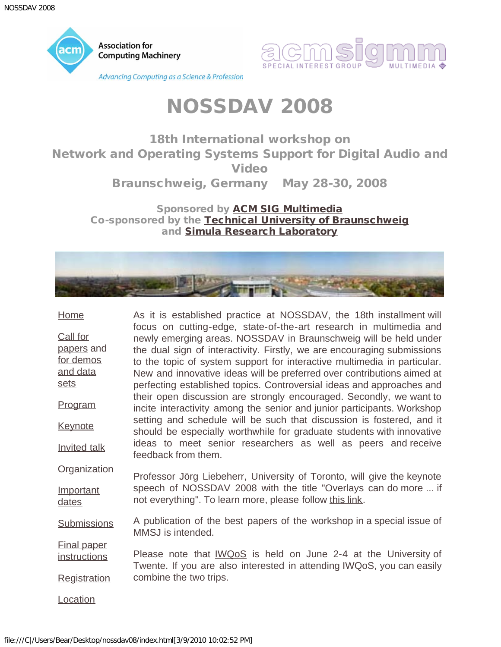<span id="page-0-0"></span>



18th International workshop on Network and Operating Systems Support for Digital Audio and Video

Braunschweig, Germany May 28-30, 2008

Sponsored by **[ACM SIG Multimedia](javascript:if(confirm()** Co-sponsored by the [Technical University of Braunschweig](javascript:if(confirm() and [Simula Research Laboratory](javascript:if(confirm()



| <b>Home</b>                                                           | As it is established practice at NOSSDAV, the 18th installment will                                                                                                                                                                                                                                                                                                                                                                              |
|-----------------------------------------------------------------------|--------------------------------------------------------------------------------------------------------------------------------------------------------------------------------------------------------------------------------------------------------------------------------------------------------------------------------------------------------------------------------------------------------------------------------------------------|
| <b>Call for</b><br>papers and<br>for demos<br>and data<br><u>sets</u> | focus on cutting-edge, state-of-the-art research in multimedia and<br>newly emerging areas. NOSSDAV in Braunschweig will be held under<br>the dual sign of interactivity. Firstly, we are encouraging submissions<br>to the topic of system support for interactive multimedia in particular.<br>New and innovative ideas will be preferred over contributions aimed at<br>perfecting established topics. Controversial ideas and approaches and |
| Program                                                               | their open discussion are strongly encouraged. Secondly, we want to<br>incite interactivity among the senior and junior participants. Workshop                                                                                                                                                                                                                                                                                                   |
| <b>Keynote</b>                                                        | setting and schedule will be such that discussion is fostered, and it<br>should be especially worthwhile for graduate students with innovative                                                                                                                                                                                                                                                                                                   |
| <b>Invited talk</b>                                                   | ideas to meet senior researchers as well as peers and receive<br>feedback from them.                                                                                                                                                                                                                                                                                                                                                             |
| <b>Organization</b>                                                   | Professor Jörg Liebeherr, University of Toronto, will give the keynote                                                                                                                                                                                                                                                                                                                                                                           |
| Important<br>dates                                                    | speech of NOSSDAV 2008 with the title "Overlays can do more  if<br>not everything". To learn more, please follow this link.                                                                                                                                                                                                                                                                                                                      |
| <b>Submissions</b>                                                    | A publication of the best papers of the workshop in a special issue of<br>MMSJ is intended.                                                                                                                                                                                                                                                                                                                                                      |
| <b>Final paper</b><br><u>instructions</u>                             | Please note that IWQoS is held on June 2-4 at the University of<br>Twente. If you are also interested in attending IWQoS, you can easily                                                                                                                                                                                                                                                                                                         |
| <b>Registration</b>                                                   | combine the two trips.                                                                                                                                                                                                                                                                                                                                                                                                                           |
| <b>Location</b>                                                       |                                                                                                                                                                                                                                                                                                                                                                                                                                                  |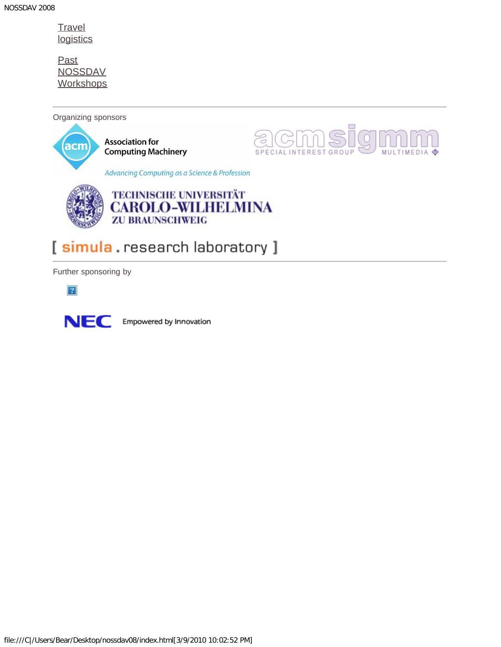**[Travel](#page-26-0) [logistics](#page-26-0)** 

**[Past](javascript:if(confirm()** [NOSSDAV](javascript:if(confirm() **[Workshops](javascript:if(confirm()** 

Organizing sponsors





### [ simula . research laboratory ]

Further sponsoring by

 $\overline{?}$ 



Empowered by Innovation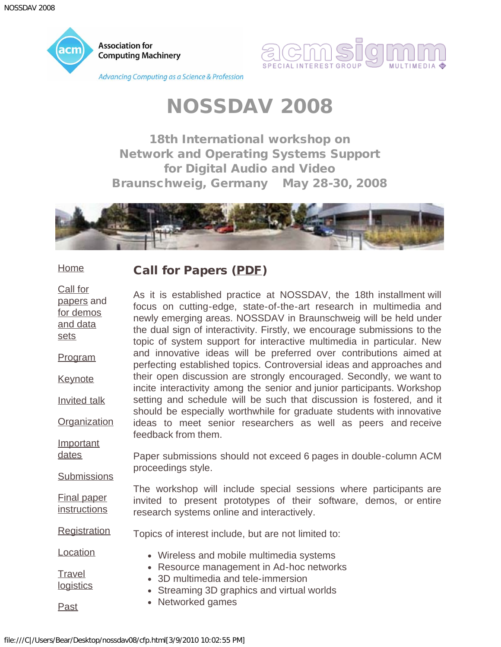<span id="page-2-0"></span>



18th International workshop on Network and Operating Systems Support for Digital Audio and Video Braunschweig, Germany May 28-30, 2008



#### **[Home](#page-0-0)**

[sets](#page-4-0)

[dates](#page-16-0)

### Call for Papers ([PDF\)](#page-30-0)

[Call for](#page-2-0) [papers](#page-2-0) and [for demos](#page-4-0) [and data](#page-4-0) [Program](#page-6-0) **[Keynote](#page-10-0)** [Invited talk](#page-12-0) **[Organization](#page-14-0) [Important](#page-16-0)** As it is established practice at NOSSDAV, the 18th installment will focus on cutting-edge, state-of-the-art research in multimedia and newly emerging areas. NOSSDAV in Braunschweig will be held under the dual sign of interactivity. Firstly, we encourage submissions to the topic of system support for interactive multimedia in particular. New and innovative ideas will be preferred over contributions aimed at perfecting established topics. Controversial ideas and approaches and their open discussion are strongly encouraged. Secondly, we want to incite interactivity among the senior and junior participants. Workshop setting and schedule will be such that discussion is fostered, and it should be especially worthwhile for graduate students with innovative ideas to meet senior researchers as well as peers and receive feedback from them.

**[Submissions](#page-18-0)** Paper submissions should not exceed 6 pages in double-column ACM proceedings style.

[Final paper](#page-20-0) **[instructions](#page-20-0)** The workshop will include special sessions where participants are invited to present prototypes of their software, demos, or entire research systems online and interactively.

**[Registration](#page-22-0)** Topics of interest include, but are not limited to:

**[Location](#page-24-0) [Travel](#page-26-0) [logistics](#page-26-0)** Wireless and mobile multimedia systems Resource management in Ad-hoc networks 3D multimedia and tele-immersion • Streaming 3D graphics and virtual worlds

- 
- [Past](javascript:if(confirm()
- Networked games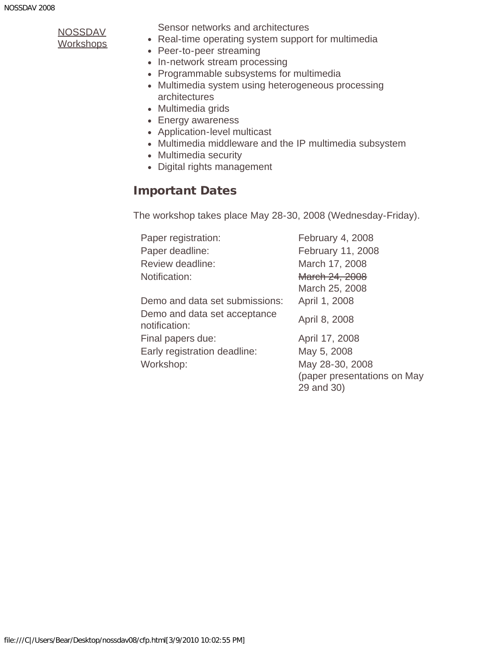**[Workshops](javascript:if(confirm()** 

Sensor networks and architectures

- Real-time operating system support for multimedia
- Peer-to-peer streaming
- In-network stream processing
- Programmable subsystems for multimedia
- Multimedia system using heterogeneous processing architectures
- Multimedia grids
- Energy awareness
- Application-level multicast
- Multimedia middleware and the IP multimedia subsystem
- Multimedia security
- Digital rights management

### Important Dates

The workshop takes place May 28-30, 2008 (Wednesday-Friday).

| Paper registration:                           | February 4, 2008            |
|-----------------------------------------------|-----------------------------|
| Paper deadline:                               | February 11, 2008           |
| Review deadline:                              | March 17, 2008              |
| Notification:                                 | March 24, 2008              |
|                                               | March 25, 2008              |
| Demo and data set submissions:                | April 1, 2008               |
| Demo and data set acceptance<br>notification: | April 8, 2008               |
| Final papers due:                             | April 17, 2008              |
| Early registration deadline:                  | May 5, 2008                 |
| Workshop:                                     | May 28-30, 2008             |
|                                               | (paper presentations on May |
|                                               | 29 and 30)                  |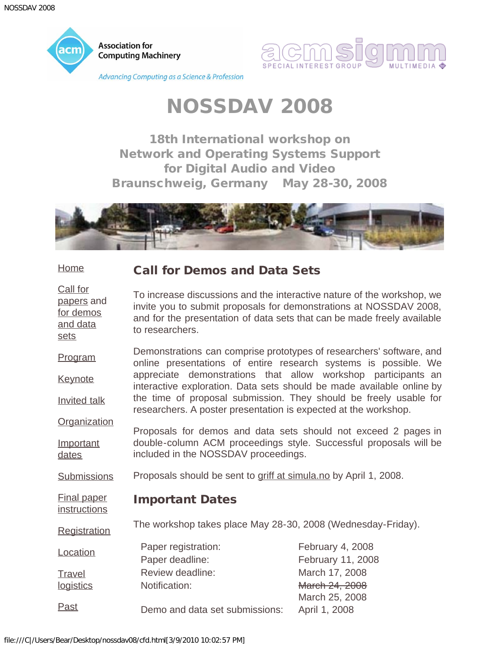<span id="page-4-0"></span>

[Call for](#page-2-0)

[sets](#page-4-0)



## NOSSDAV 2008

18th International workshop on Network and Operating Systems Support for Digital Audio and Video Braunschweig, Germany May 28-30, 2008



#### **[Home](#page-0-0)** Call for Demos and Data Sets

[papers](#page-2-0) and [for demos](#page-4-0) [and data](#page-4-0) To increase discussions and the interactive nature of the workshop, we invite you to submit proposals for demonstrations at NOSSDAV 2008, and for the presentation of data sets that can be made freely available to researchers.

[Program](#page-6-0) **[Keynote](#page-10-0)** [Invited talk](#page-12-0) Demonstrations can comprise prototypes of researchers' software, and online presentations of entire research systems is possible. We appreciate demonstrations that allow workshop participants an interactive exploration. Data sets should be made available online by the time of proposal submission. They should be freely usable for researchers. A poster presentation is expected at the workshop.

**[Organization](#page-14-0) [Important](#page-16-0)** [dates](#page-16-0) Proposals for demos and data sets should not exceed 2 pages in double-column ACM proceedings style. Successful proposals will be included in the NOSSDAV proceedings.

**[Submissions](#page-18-0)** Proposals should be sent to [griff at simula.no](mailto:griff@simula.no) by April 1, 2008.

#### [Final paper](#page-20-0) **[instructions](#page-20-0)** Important Dates

**[Registration](#page-22-0)** The workshop takes place May 28-30, 2008 (Wednesday-Friday).

| Location  | Paper registration:            | February 4, 2008  |
|-----------|--------------------------------|-------------------|
|           | Paper deadline:                | February 11, 2008 |
| Travel    | Review deadline:               | March 17, 2008    |
| logistics | Notification:                  | March 24, 2008    |
|           |                                | March 25, 2008    |
| Past      | Demo and data set submissions: | April 1, 2008     |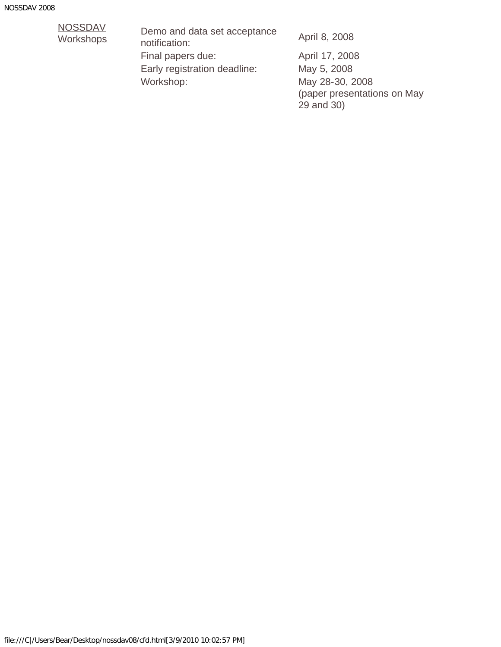## [NOSSDAV](javascript:if(confirm()<br>Workshops

Demo and data set acceptance Derno and data set acceptance April 8, 2008<br>notification: Final papers due: April 17, 2008 Early registration deadline: May 5, 2008 Workshop: May 28-30, 2008

(paper presentations on May 29 and 30)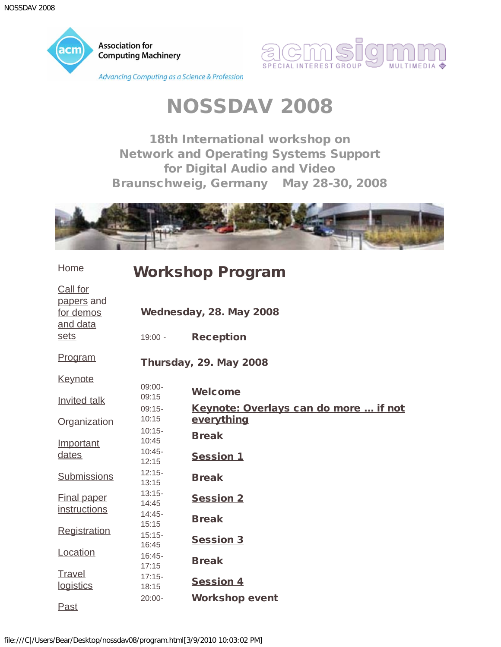<span id="page-6-0"></span>



18th International workshop on Network and Operating Systems Support for Digital Audio and Video Braunschweig, Germany May 28-30, 2008



| <b>Home</b>                                     | <b>Workshop Program</b>       |                                                            |  |
|-------------------------------------------------|-------------------------------|------------------------------------------------------------|--|
| Call for<br>papers and<br>for demos<br>and data |                               | Wednesday, 28. May 2008                                    |  |
| sets                                            | $19:00 -$                     | <b>Reception</b>                                           |  |
| <u>Program</u>                                  | <b>Thursday, 29. May 2008</b> |                                                            |  |
| <u>Keynote</u>                                  |                               |                                                            |  |
| <b>Invited talk</b>                             | $09:00-$<br>09:15             | Welcome                                                    |  |
| Organization                                    | $09:15-$<br>10:15             | <u>Keynote: Overlays can do more  if not</u><br>everything |  |
| Important                                       | $10:15 -$<br>10:45            | <b>Break</b>                                               |  |
| dates                                           | $10:45 -$<br>12:15            | <b>Session 1</b>                                           |  |
| <b>Submissions</b>                              | $12:15-$<br>13:15             | <b>Break</b>                                               |  |
| <b>Final paper</b>                              | $13:15 -$<br>14:45            | <b>Session 2</b>                                           |  |
| instructions                                    | $14:45-$<br>15:15             | <b>Break</b>                                               |  |
| Registration                                    | $15:15 -$<br>16:45            | <b>Session 3</b>                                           |  |
| Location                                        | $16:45-$<br>17:15             | <b>Break</b>                                               |  |
| Travel<br>logistics                             | $17:15 -$<br>18:15            | <b>Session 4</b>                                           |  |
| <b>Past</b>                                     | $20:00 -$                     | <b>Workshop event</b>                                      |  |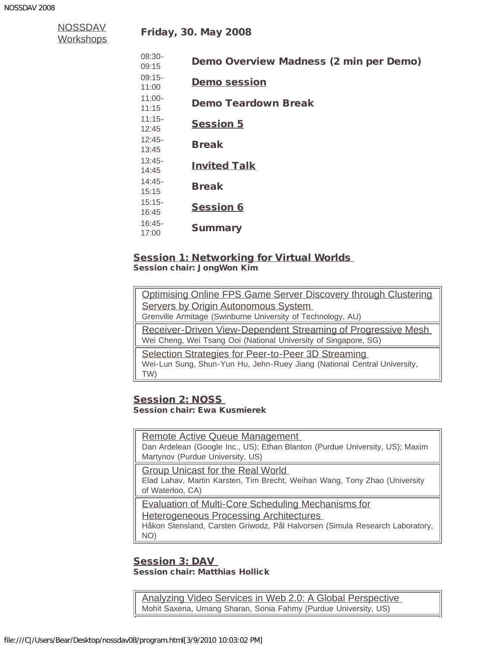| NOSSDAV           |  |
|-------------------|--|
| <u> Workshops</u> |  |

| $08:30-$<br>09:15  | Demo Overview Madness (2 min per Demo) |
|--------------------|----------------------------------------|
| $09:15-$<br>11:00  | <b>Demo session</b>                    |
| $11:00 -$<br>11:15 | Demo Teardown Break                    |
| $11:15-$<br>12:45  | <b>Session 5</b>                       |
| $12:45-$<br>13:45  | <b>Break</b>                           |
| $13:45-$<br>14:45  | <b>Invited Talk</b>                    |
| $14:45-$<br>15:15  | <b>Break</b>                           |
| $15:15-$<br>16:45  | <b>Session 6</b>                       |
| $16:45-$<br>17:00  | <b>Summary</b>                         |

### **Session 1: Networking for Virtual Worlds**

<span id="page-7-0"></span>Session chair: JongWon Kim

| Optimising Online FPS Game Server Discovery through Clustering           |  |
|--------------------------------------------------------------------------|--|
| Servers by Origin Autonomous System                                      |  |
| Grenville Armitage (Swinburne University of Technology, AU)              |  |
| <b>Receiver-Driven View-Dependent Streaming of Progressive Mesh</b>      |  |
| Wei Cheng, Wei Tsang Ooi (National University of Singapore, SG)          |  |
| Selection Strategies for Peer-to-Peer 3D Streaming                       |  |
| Wei-Lun Sung, Shun-Yun Hu, Jehn-Ruey Jiang (National Central University, |  |
| TW)                                                                      |  |
|                                                                          |  |

#### <span id="page-7-1"></span>Session 2: NOSS Session chair: Ewa Kusmierek

[Remote Active Queue Management](javascript:if(confirm()  Dan Ardelean (Google Inc., US); Ethan Blanton (Purdue University, US); Maxim Martynov (Purdue University, US)

[Group Unicast for the Real World](javascript:if(confirm() 

Elad Lahav, Martin Karsten, Tim Brecht, Weihan Wang, Tony Zhao (University of Waterloo, CA)

[Evaluation of Multi-Core Scheduling Mechanisms for](javascript:if(confirm()

[Heterogeneous Processing Architectures](javascript:if(confirm() 

Håkon Stensland, Carsten Griwodz, Pål Halvorsen (Simula Research Laboratory, NO)

#### <span id="page-7-2"></span>Session 3: DAV Session chair: Matthias Hollick

[Analyzing Video Services in Web 2.0: A Global Perspective](javascript:if(confirm()  Mohit Saxena, Umang Sharan, Sonia Fahmy (Purdue University, US)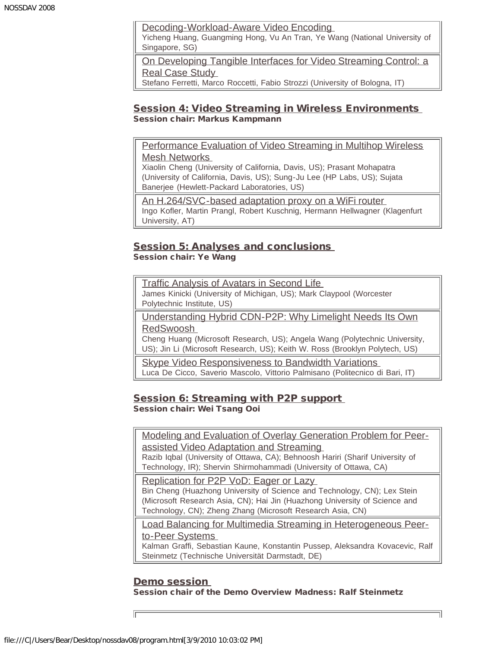[Decoding-Workload-Aware Video Encoding](javascript:if(confirm() 

Yicheng Huang, Guangming Hong, Vu An Tran, Ye Wang (National University of Singapore, SG)

[On Developing Tangible Interfaces for Video Streaming Control: a](javascript:if(confirm() [Real Case Study](javascript:if(confirm() 

Stefano Ferretti, Marco Roccetti, Fabio Strozzi (University of Bologna, IT)

#### <span id="page-8-0"></span>Session 4: Video Streaming in Wireless Environments Session chair: Markus Kampmann

[Performance Evaluation of Video Streaming in Multihop Wireless](javascript:if(confirm() [Mesh Networks](javascript:if(confirm() 

Xiaolin Cheng (University of California, Davis, US); Prasant Mohapatra (University of California, Davis, US); Sung-Ju Lee (HP Labs, US); Sujata Banerjee (Hewlett-Packard Laboratories, US)

[An H.264/SVC-based adaptation proxy on a WiFi router](javascript:if(confirm()  Ingo Kofler, Martin Prangl, Robert Kuschnig, Hermann Hellwagner (Klagenfurt University, AT)

#### <span id="page-8-2"></span>**Session 5: Analyses and conclusions** Session chair: Ye Wang

[Traffic Analysis of Avatars in Second Life](javascript:if(confirm()  James Kinicki (University of Michigan, US); Mark Claypool (Worcester Polytechnic Institute, US)

[Understanding Hybrid CDN-P2P: Why Limelight Needs Its Own](javascript:if(confirm() [RedSwoosh](javascript:if(confirm() 

Cheng Huang (Microsoft Research, US); Angela Wang (Polytechnic University, US); Jin Li (Microsoft Research, US); Keith W. Ross (Brooklyn Polytech, US)

**Skype Video Responsiveness to Bandwidth Variations** Luca De Cicco, Saverio Mascolo, Vittorio Palmisano (Politecnico di Bari, IT)

### <span id="page-8-3"></span>Session 6: Streaming with P2P support Session chair: Wei Tsang Ooi

[Modeling and Evaluation of Overlay Generation Problem for Peer](javascript:if(confirm()[assisted Video Adaptation and Streaming](javascript:if(confirm() 

Razib Iqbal (University of Ottawa, CA); Behnoosh Hariri (Sharif University of Technology, IR); Shervin Shirmohammadi (University of Ottawa, CA)

[Replication for P2P VoD: Eager or Lazy](javascript:if(confirm()  Bin Cheng (Huazhong University of Science and Technology, CN); Lex Stein (Microsoft Research Asia, CN); Hai Jin (Huazhong University of Science and Technology, CN); Zheng Zhang (Microsoft Research Asia, CN)

[Load Balancing for Multimedia Streaming in Heterogeneous Peer](javascript:if(confirm()[to-Peer Systems](javascript:if(confirm() 

Kalman Graffi, Sebastian Kaune, Konstantin Pussep, Aleksandra Kovacevic, Ralf Steinmetz (Technische Universität Darmstadt, DE)

#### Demo session Session chair of the Demo Overview Madness: Ralf Steinmetz

<span id="page-8-1"></span>file:///C|/Users/Bear/Desktop/nossdav08/program.html[3/9/2010 10:03:02 PM]

匠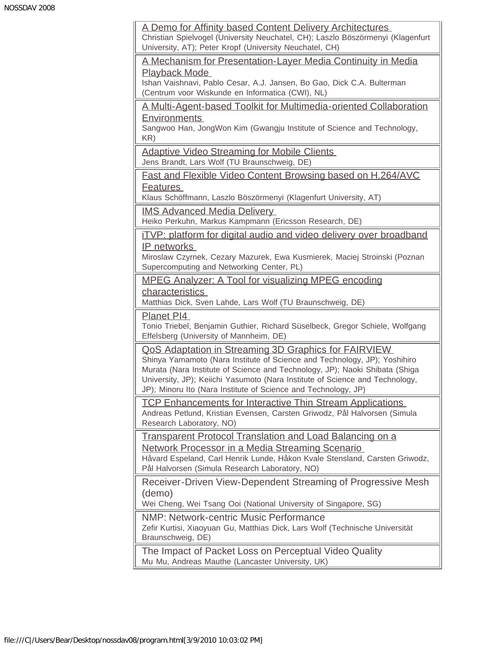| A Demo for Affinity based Content Delivery Architectures<br>Christian Spielvogel (University Neuchatel, CH); Laszlo Böszörmenyi (Klagenfurt<br>University, AT); Peter Kropf (University Neuchatel, CH)                                                                                                                                                             |
|--------------------------------------------------------------------------------------------------------------------------------------------------------------------------------------------------------------------------------------------------------------------------------------------------------------------------------------------------------------------|
| A Mechanism for Presentation-Layer Media Continuity in Media                                                                                                                                                                                                                                                                                                       |
| <b>Playback Mode</b><br>Ishan Vaishnavi, Pablo Cesar, A.J. Jansen, Bo Gao, Dick C.A. Bulterman<br>(Centrum voor Wiskunde en Informatica (CWI), NL)                                                                                                                                                                                                                 |
| A Multi-Agent-based Toolkit for Multimedia-oriented Collaboration<br><b>Environments</b>                                                                                                                                                                                                                                                                           |
| Sangwoo Han, JongWon Kim (Gwangju Institute of Science and Technology,<br>KR)                                                                                                                                                                                                                                                                                      |
| <b>Adaptive Video Streaming for Mobile Clients</b><br>Jens Brandt, Lars Wolf (TU Braunschweig, DE)                                                                                                                                                                                                                                                                 |
| Fast and Flexible Video Content Browsing based on H.264/AVC<br><b>Features</b>                                                                                                                                                                                                                                                                                     |
| Klaus Schöffmann, Laszlo Böszörmenyi (Klagenfurt University, AT)                                                                                                                                                                                                                                                                                                   |
| <b>IMS Advanced Media Delivery</b><br>Heiko Perkuhn, Markus Kampmann (Ericsson Research, DE)                                                                                                                                                                                                                                                                       |
| <u>iTVP: platform for digital audio and video delivery over broadband</u><br>IP networks                                                                                                                                                                                                                                                                           |
| Miroslaw Czyrnek, Cezary Mazurek, Ewa Kusmierek, Maciej Stroinski (Poznan<br>Supercomputing and Networking Center, PL)                                                                                                                                                                                                                                             |
| <b>MPEG Analyzer: A Tool for visualizing MPEG encoding</b>                                                                                                                                                                                                                                                                                                         |
| characteristics<br>Matthias Dick, Sven Lahde, Lars Wolf (TU Braunschweig, DE)                                                                                                                                                                                                                                                                                      |
| Planet PI4<br>Tonio Triebel, Benjamin Guthier, Richard Süselbeck, Gregor Schiele, Wolfgang                                                                                                                                                                                                                                                                         |
| Effelsberg (University of Mannheim, DE)                                                                                                                                                                                                                                                                                                                            |
| QoS Adaptation in Streaming 3D Graphics for FAIRVIEW<br>Shinya Yamamoto (Nara Institute of Science and Technology, JP); Yoshihiro<br>Murata (Nara Institute of Science and Technology, JP); Naoki Shibata (Shiga<br>University, JP); Keiichi Yasumoto (Nara Institute of Science and Technology,<br>JP); Minoru Ito (Nara Institute of Science and Technology, JP) |
| <b>TCP Enhancements for Interactive Thin Stream Applications</b><br>Andreas Petlund, Kristian Evensen, Carsten Griwodz, Pål Halvorsen (Simula<br>Research Laboratory, NO)                                                                                                                                                                                          |
| <b>Transparent Protocol Translation and Load Balancing on a</b>                                                                                                                                                                                                                                                                                                    |
| Network Processor in a Media Streaming Scenario<br>Håvard Espeland, Carl Henrik Lunde, Håkon Kvale Stensland, Carsten Griwodz,<br>Pål Halvorsen (Simula Research Laboratory, NO)                                                                                                                                                                                   |
| Receiver-Driven View-Dependent Streaming of Progressive Mesh                                                                                                                                                                                                                                                                                                       |
| (demo)<br>Wei Cheng, Wei Tsang Ooi (National University of Singapore, SG)                                                                                                                                                                                                                                                                                          |
| <b>NMP: Network-centric Music Performance</b><br>Zefir Kurtisi, Xiaoyuan Gu, Matthias Dick, Lars Wolf (Technische Universität<br>Braunschweig, DE)                                                                                                                                                                                                                 |
| The Impact of Packet Loss on Perceptual Video Quality<br>Mu Mu, Andreas Mauthe (Lancaster University, UK)                                                                                                                                                                                                                                                          |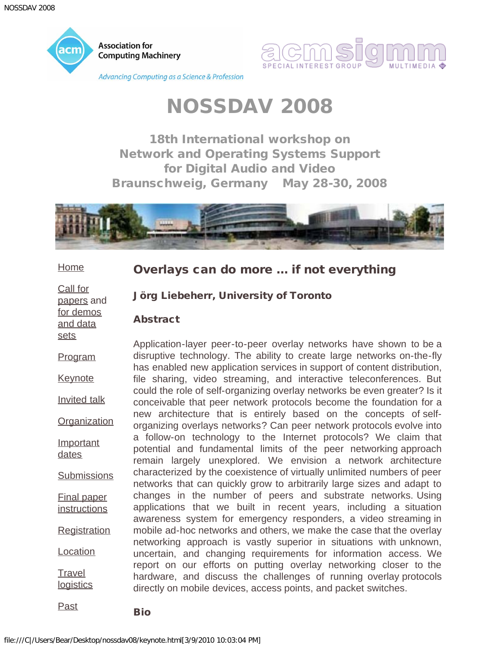<span id="page-10-0"></span>



18th International workshop on Network and Operating Systems Support for Digital Audio and Video Braunschweig, Germany May 28-30, 2008



**[Home](#page-0-0)** 

[dates](#page-16-0)

**[Travel](#page-26-0)** 

[Past](javascript:if(confirm()

Overlays can do more ... if not everything

[Call for](#page-2-0) [papers](#page-2-0) and [for demos](#page-4-0) [and data](#page-4-0) [sets](#page-4-0)

Jörg Liebeherr, University of Toronto

### Abstract

[Program](#page-6-0) **[Keynote](#page-10-0)** [Invited talk](#page-12-0) **[Organization](#page-14-0) [Important](#page-16-0) [Submissions](#page-18-0)** [Final paper](#page-20-0) **[instructions](#page-20-0) [Registration](#page-22-0) [Location](#page-24-0) [logistics](#page-26-0)** Application-layer peer-to-peer overlay networks have shown to be a disruptive technology. The ability to create large networks on-the-fly has enabled new application services in support of content distribution, file sharing, video streaming, and interactive teleconferences. But could the role of self-organizing overlay networks be even greater? Is it conceivable that peer network protocols become the foundation for a new architecture that is entirely based on the concepts of selforganizing overlays networks? Can peer network protocols evolve into a follow-on technology to the Internet protocols? We claim that potential and fundamental limits of the peer networking approach remain largely unexplored. We envision a network architecture characterized by the coexistence of virtually unlimited numbers of peer networks that can quickly grow to arbitrarily large sizes and adapt to changes in the number of peers and substrate networks. Using applications that we built in recent years, including a situation awareness system for emergency responders, a video streaming in mobile ad-hoc networks and others, we make the case that the overlay networking approach is vastly superior in situations with unknown, uncertain, and changing requirements for information access. We report on our efforts on putting overlay networking closer to the hardware, and discuss the challenges of running overlay protocols directly on mobile devices, access points, and packet switches.

**Bio**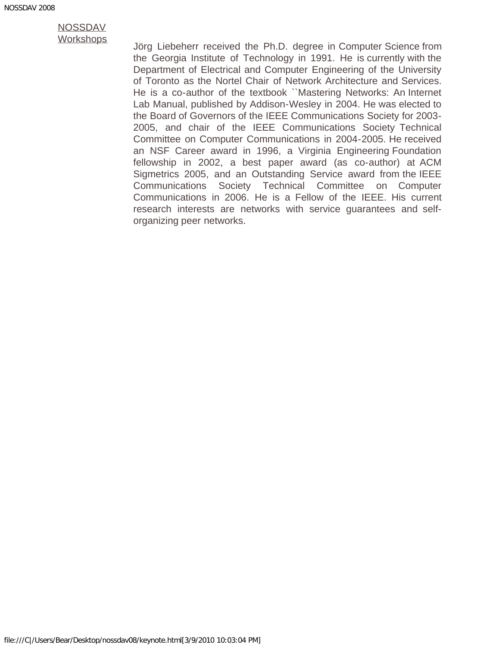[Workshops](javascript:if(confirm() Jörg Liebeherr received the Ph.D. degree in Computer Science from the Georgia Institute of Technology in 1991. He is currently with the Department of Electrical and Computer Engineering of the University of Toronto as the Nortel Chair of Network Architecture and Services. He is a co-author of the textbook ``Mastering Networks: An Internet Lab Manual, published by Addison-Wesley in 2004. He was elected to the Board of Governors of the IEEE Communications Society for 2003- 2005, and chair of the IEEE Communications Society Technical Committee on Computer Communications in 2004-2005. He received an NSF Career award in 1996, a Virginia Engineering Foundation fellowship in 2002, a best paper award (as co-author) at ACM Sigmetrics 2005, and an Outstanding Service award from the IEEE Communications Society Technical Committee on Computer Communications in 2006. He is a Fellow of the IEEE. His current research interests are networks with service guarantees and selforganizing peer networks.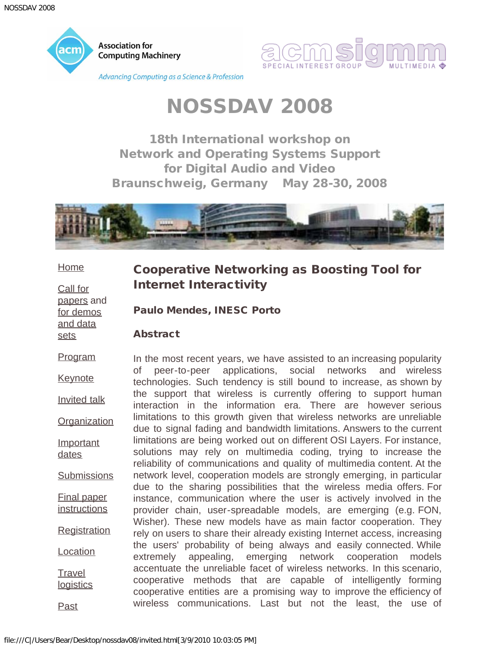<span id="page-12-0"></span>

18th International workshop on Network and Operating Systems Support for Digital Audio and Video Braunschweig, Germany May 28-30, 2008



#### **[Home](#page-0-0)**

[Call for](#page-2-0) [papers](#page-2-0) and [for demos](#page-4-0) [and data](#page-4-0) [sets](#page-4-0)

### Cooperative Networking as Boosting Tool for Internet Interactivity

Paulo Mendes, INESC Porto

### Abstract

[Program](#page-6-0)

**[Keynote](#page-10-0)** 

[Invited talk](#page-12-0)

**[Organization](#page-14-0)** 

**[Important](#page-16-0)** [dates](#page-16-0)

**[Submissions](#page-18-0)** 

[Final paper](#page-20-0) **[instructions](#page-20-0)** 

**[Registration](#page-22-0)** 

**[Location](#page-24-0)** 

**[Travel](#page-26-0) [logistics](#page-26-0)** 

[Past](javascript:if(confirm()

In the most recent years, we have assisted to an increasing popularity of peer-to-peer applications, social networks and wireless technologies. Such tendency is still bound to increase, as shown by the support that wireless is currently offering to support human interaction in the information era. There are however serious limitations to this growth given that wireless networks are unreliable due to signal fading and bandwidth limitations. Answers to the current limitations are being worked out on different OSI Layers. For instance, solutions may rely on multimedia coding, trying to increase the reliability of communications and quality of multimedia content. At the network level, cooperation models are strongly emerging, in particular due to the sharing possibilities that the wireless media offers. For instance, communication where the user is actively involved in the provider chain, user-spreadable models, are emerging (e.g. FON, Wisher). These new models have as main factor cooperation. They rely on users to share their already existing Internet access, increasing the users' probability of being always and easily connected. While extremely appealing, emerging network cooperation models accentuate the unreliable facet of wireless networks. In this scenario, cooperative methods that are capable of intelligently forming cooperative entities are a promising way to improve the efficiency of wireless communications. Last but not the least, the use of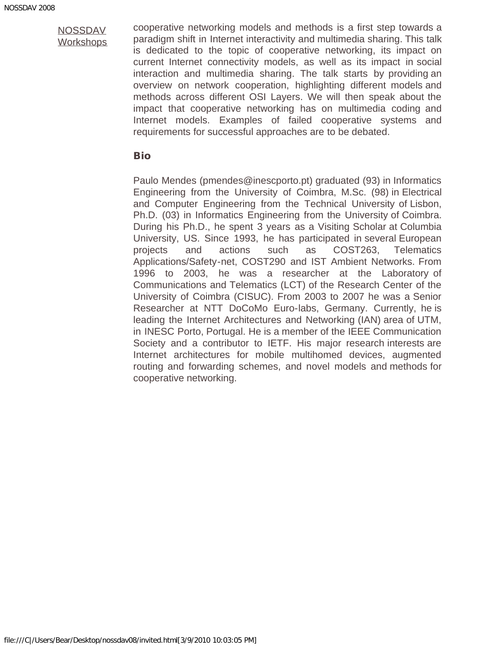cooperative networking models and methods is a first step towards a paradigm shift in Internet interactivity and multimedia sharing. This talk is dedicated to the topic of cooperative networking, its impact on current Internet connectivity models, as well as its impact in social interaction and multimedia sharing. The talk starts by providing an overview on network cooperation, highlighting different models and methods across different OSI Layers. We will then speak about the impact that cooperative networking has on multimedia coding and Internet models. Examples of failed cooperative systems and requirements for successful approaches are to be debated.

### Bio

Paulo Mendes (pmendes@inescporto.pt) graduated (93) in Informatics Engineering from the University of Coimbra, M.Sc. (98) in Electrical and Computer Engineering from the Technical University of Lisbon, Ph.D. (03) in Informatics Engineering from the University of Coimbra. During his Ph.D., he spent 3 years as a Visiting Scholar at Columbia University, US. Since 1993, he has participated in several European projects and actions such as COST263, Telematics Applications/Safety-net, COST290 and IST Ambient Networks. From 1996 to 2003, he was a researcher at the Laboratory of Communications and Telematics (LCT) of the Research Center of the University of Coimbra (CISUC). From 2003 to 2007 he was a Senior Researcher at NTT DoCoMo Euro-labs, Germany. Currently, he is leading the Internet Architectures and Networking (IAN) area of UTM, in INESC Porto, Portugal. He is a member of the IEEE Communication Society and a contributor to IETF. His major research interests are Internet architectures for mobile multihomed devices, augmented routing and forwarding schemes, and novel models and methods for cooperative networking.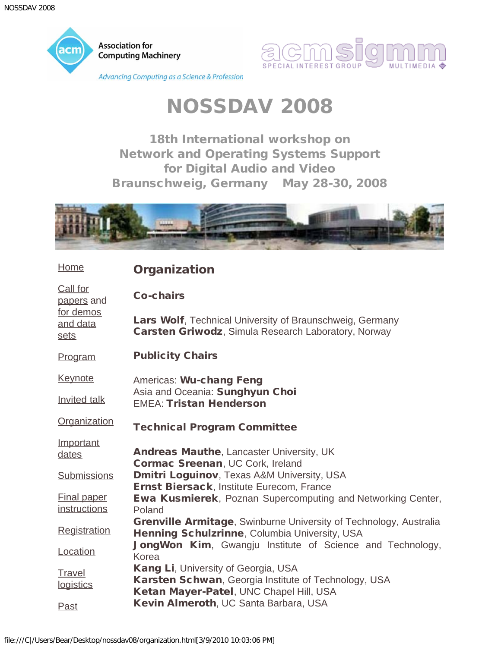<span id="page-14-0"></span>

[Home](#page-0-0)



## NOSSDAV 2008

18th International workshop on Network and Operating Systems Support for Digital Audio and Video Braunschweig, Germany May 28-30, 2008



**Organization** 

|                                           | Ul yanızatıvn                                                                                                                          |
|-------------------------------------------|----------------------------------------------------------------------------------------------------------------------------------------|
| Call for<br>papers and                    | <b>Co-chairs</b>                                                                                                                       |
| for demos<br>and data<br>sets             | Lars Wolf, Technical University of Braunschweig, Germany<br><b>Carsten Griwodz, Simula Research Laboratory, Norway</b>                 |
| Program                                   | <b>Publicity Chairs</b>                                                                                                                |
| <b>Keynote</b>                            | Americas: Wu-chang Feng                                                                                                                |
| <b>Invited talk</b>                       | Asia and Oceania: Sunghyun Choi<br><b>EMEA: Tristan Henderson</b>                                                                      |
| Organization                              | <b>Technical Program Committee</b>                                                                                                     |
| Important<br>dates                        | <b>Andreas Mauthe, Lancaster University, UK</b><br>Cormac Sreenan, UC Cork, Ireland                                                    |
| <b>Submissions</b>                        | <b>Dmitri Loguinov, Texas A&amp;M University, USA</b><br>Ernst Biersack, Institute Eurecom, France                                     |
| <b>Final paper</b><br><i>instructions</i> | <b>Ewa Kusmierek, Poznan Supercomputing and Networking Center,</b><br>Poland                                                           |
| <b>Registration</b>                       | <b>Grenville Armitage, Swinburne University of Technology, Australia</b><br>Henning Schulzrinne, Columbia University, USA              |
| Location                                  | <b>JongWon Kim, Gwangju Institute of Science and Technology,</b><br>Korea                                                              |
| <b>Travel</b><br>logistics                | Kang Li, University of Georgia, USA<br>Karsten Schwan, Georgia Institute of Technology, USA<br>Ketan Mayer-Patel, UNC Chapel Hill, USA |
| <b>Past</b>                               | Kevin Almeroth, UC Santa Barbara, USA                                                                                                  |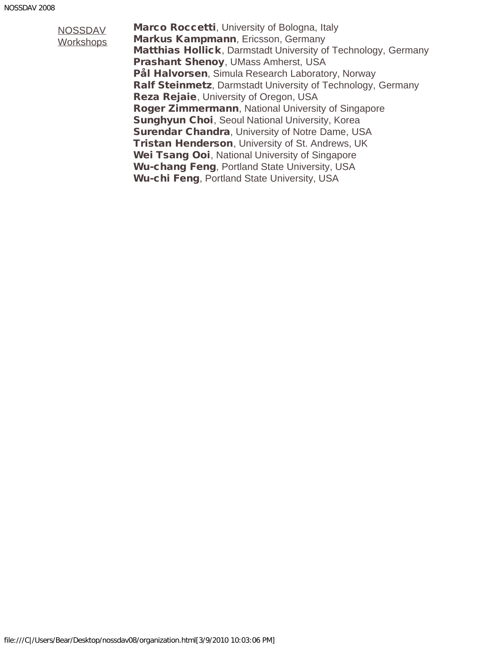Marco Roccetti, University of Bologna, Italy Markus Kampmann, Ericsson, Germany Matthias Hollick, Darmstadt University of Technology, Germany Prashant Shenoy, UMass Amherst, USA Pål Halvorsen, Simula Research Laboratory, Norway Ralf Steinmetz, Darmstadt University of Technology, Germany Reza Rejaie, University of Oregon, USA Roger Zimmermann, National University of Singapore **Sunghyun Choi**, Seoul National University, Korea **Surendar Chandra, University of Notre Dame, USA Tristan Henderson, University of St. Andrews, UK** Wei Tsang Ooi, National University of Singapore Wu-chang Feng, Portland State University, USA Wu-chi Feng, Portland State University, USA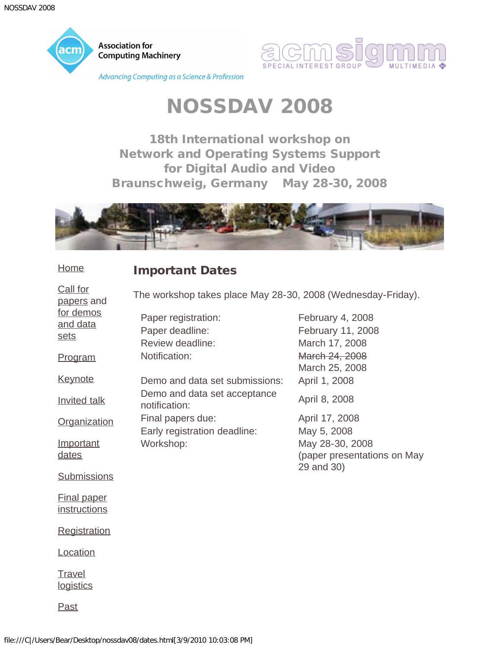<span id="page-16-0"></span>

**Association for Computing Machinery** 

**Advancing Computing as a Science & Profession** 



### NOSSDAV 2008

18th International workshop on Network and Operating Systems Support for Digital Audio and Video Braunschweig, Germany May 28-30, 2008



#### **[Home](#page-0-0)** Important Dates

[Call for](#page-2-0) [papers](#page-2-0) and [for demos](#page-4-0) [and data](#page-4-0) [sets](#page-4-0) [Program](#page-6-0) **[Keynote](#page-10-0)** [Invited talk](#page-12-0) **[Organization](#page-14-0) [Important](#page-16-0)** [dates](#page-16-0) **[Submissions](#page-18-0)** [Final paper](#page-20-0) **[instructions](#page-20-0) [Registration](#page-22-0)** [Location](#page-24-0) **[Travel](#page-26-0) [logistics](#page-26-0)** The workshop takes place May 28-30, 2008 (Wednesday-Friday). Paper registration: February 4, 2008 Paper deadline: February 11, 2008 Review deadline: March 17, 2008 Notification: March 24, 2008 March 25, 2008 Demo and data set submissions: April 1, 2008 Demo and data set acceptance notification: April 8, 2008 Final papers due: April 17, 2008 Early registration deadline: May 5, 2008 Workshop: May 28-30, 2008 (paper presentations on May 29 and 30)

[Past](javascript:if(confirm()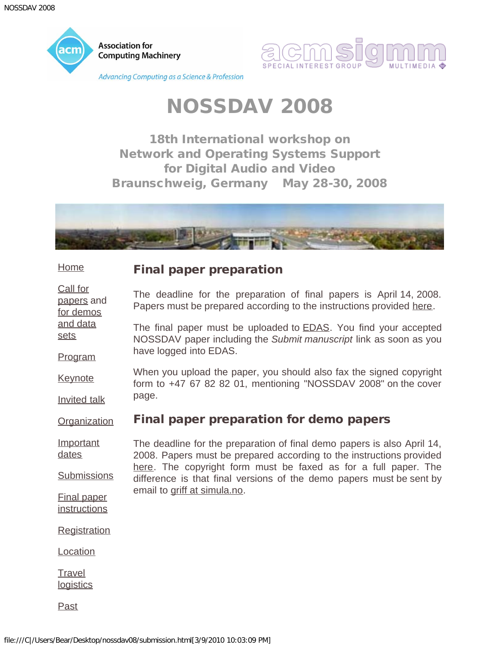<span id="page-18-0"></span>



18th International workshop on Network and Operating Systems Support for Digital Audio and Video Braunschweig, Germany May 28-30, 2008



#### **[Home](#page-0-0)** Final paper preparation

[papers](#page-2-0) and [for demos](#page-4-0) The deadline for the preparation of final papers is April 14, 2008. Papers must be prepared according to the instructions provided [here](#page-20-0).

[and data](#page-4-0) [sets](#page-4-0) [Program](#page-6-0) The final paper must be uploaded to **EDAS**. You find your accepted NOSSDAV paper including the *Submit manuscript* link as soon as you have logged into EDAS.

**[Keynote](#page-10-0)** [Invited talk](#page-12-0) When you upload the paper, you should also fax the signed copyright form to +47 67 82 82 01, mentioning "NOSSDAV 2008" on the cover page.

#### **[Organization](#page-14-0)** Final paper preparation for demo papers

**[Important](#page-16-0)** [dates](#page-16-0) **[Submissions](#page-18-0)** The deadline for the preparation of final demo papers is also April 14, 2008. Papers must be prepared according to the instructions provided [here.](#page-20-0) The copyright form must be faxed as for a full paper. The difference is that final versions of the demo papers must be sent by email to [griff at simula.no.](mailto:griff@simula.no)

[Final paper](#page-20-0) **[instructions](#page-20-0)** 

[Call for](#page-2-0)

**[Registration](#page-22-0)** 

[Location](#page-24-0)

**[Travel](#page-26-0) [logistics](#page-26-0)** 

[Past](javascript:if(confirm()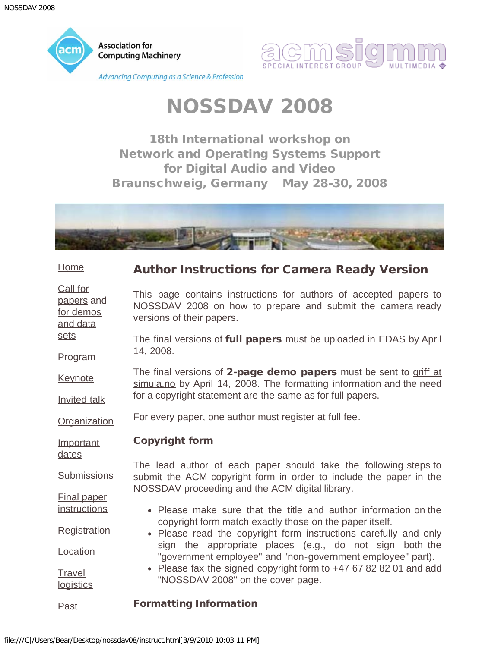<span id="page-20-0"></span>



18th International workshop on Network and Operating Systems Support for Digital Audio and Video Braunschweig, Germany May 28-30, 2008



[Home](#page-0-0)

[sets](#page-4-0)

### Author Instructions for Camera Ready Version

[Call for](#page-2-0) [papers](#page-2-0) and [for demos](#page-4-0) [and data](#page-4-0) This page contains instructions for authors of accepted papers to NOSSDAV 2008 on how to prepare and submit the camera ready versions of their papers.

[Program](#page-6-0) The final versions of full papers must be uploaded in EDAS by April 14, 2008.

**[Keynote](#page-10-0)** [Invited talk](#page-12-0) The final versions of 2-page demo papers must be sent to [griff at](mailto:griff@simula.no) [simula.no](mailto:griff@simula.no) by April 14, 2008. The formatting information and the need for a copyright statement are the same as for full papers.

**[Organization](#page-14-0)** For every paper, one author must [register at full fee.](#page-22-0)

**[Important](#page-16-0)** [dates](#page-16-0)

[Final paper](#page-20-0) **[instructions](#page-20-0)** 

**[Travel](#page-26-0) [logistics](#page-26-0)**  Copyright form

**[Submissions](#page-18-0)** The lead author of each paper should take the following steps to submit the ACM [copyright form](javascript:if(confirm() in order to include the paper in the NOSSDAV proceeding and the ACM digital library.

- Please make sure that the title and author information on the copyright form match exactly those on the paper itself.
- **[Registration](#page-22-0) [Location](#page-24-0)** Please read the copyright form instructions carefully and only sign the appropriate places (e.g., do not sign both the "government employee" and "non-government employee" part).
	- Please fax the signed copyright form to +47 67 82 82 01 and add "NOSSDAV 2008" on the cover page.

#### [Past](javascript:if(confirm() Formatting Information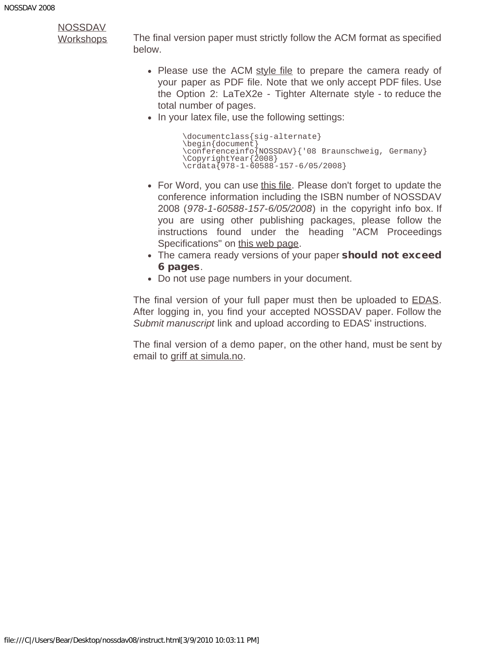[Workshops](javascript:if(confirm() The final version paper must strictly follow the ACM format as specified below.

- Please use the ACM [style file](javascript:if(confirm() to prepare the camera ready of your paper as PDF file. Note that we only accept PDF files. Use the Option 2: LaTeX2e - Tighter Alternate style - to reduce the total number of pages.
- In your latex file, use the following settings:

```
\documentclass{sig-alternate}
\begin{document}
\conferenceinfo{NOSSDAV}{'08 Braunschweig, Germany}
\CopyrightYear{2008}
\crdata{978-1-60588-157-6/05/2008}
```
- For Word, you can use [this file.](javascript:if(confirm() Please don't forget to update the conference information including the ISBN number of NOSSDAV 2008 (*978-1-60588-157-6/05/2008*) in the copyright info box. If you are using other publishing packages, please follow the instructions found under the heading "ACM Proceedings Specifications" on [this web page](javascript:if(confirm().
- The camera ready versions of your paper should not exceed 6 pages.
- Do not use page numbers in your document.

The final version of your full paper must then be uploaded to **EDAS**. After logging in, you find your accepted NOSSDAV paper. Follow the *Submit manuscript* link and upload according to EDAS' instructions.

The final version of a demo paper, on the other hand, must be sent by email to [griff at simula.no.](mailto:griff@simula.no)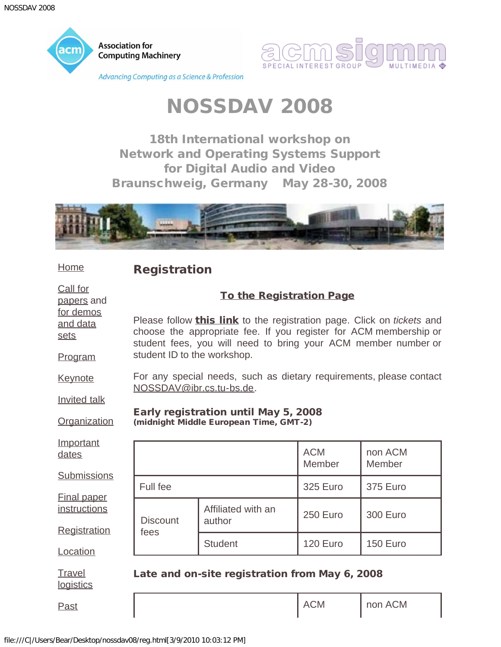<span id="page-22-0"></span>



18th International workshop on Network and Operating Systems Support for Digital Audio and Video Braunschweig, Germany May 28-30, 2008



### **[Home](#page-0-0)**

Registration

| Call for<br>papers and                             | <b>To the Registration Page</b><br>Please follow <b>this link</b> to the registration page. Click on <i>tickets</i> and<br>choose the appropriate fee. If you register for ACM membership or<br>student fees, you will need to bring your ACM member number or |                                                                                |                      |                   |
|----------------------------------------------------|----------------------------------------------------------------------------------------------------------------------------------------------------------------------------------------------------------------------------------------------------------------|--------------------------------------------------------------------------------|----------------------|-------------------|
| for demos<br>and data<br>sets                      |                                                                                                                                                                                                                                                                |                                                                                |                      |                   |
| Program                                            | student ID to the workshop.                                                                                                                                                                                                                                    |                                                                                |                      |                   |
| <b>Keynote</b>                                     | NOSSDAV@ibr.cs.tu-bs.de.                                                                                                                                                                                                                                       | For any special needs, such as dietary requirements, please contact            |                      |                   |
| <b>Invited talk</b>                                |                                                                                                                                                                                                                                                                |                                                                                |                      |                   |
| Organization                                       |                                                                                                                                                                                                                                                                | Early registration until May 5, 2008<br>(midnight Middle European Time, GMT-2) |                      |                   |
| Important<br>dates                                 |                                                                                                                                                                                                                                                                |                                                                                | <b>ACM</b><br>Member | non ACM<br>Member |
| <b>Submissions</b>                                 | Full fee                                                                                                                                                                                                                                                       |                                                                                | 325 Euro             | <b>375 Euro</b>   |
| <b>Final paper</b><br>instructions<br>Registration | <b>Discount</b>                                                                                                                                                                                                                                                | Affiliated with an<br>author                                                   | 250 Euro             | <b>300 Euro</b>   |
| Location                                           | fees                                                                                                                                                                                                                                                           | <b>Student</b>                                                                 | 120 Euro             | 150 Euro          |
| Travel<br>logistics                                |                                                                                                                                                                                                                                                                | Late and on-site registration from May 6, 2008                                 |                      |                   |

[Past](javascript:if(confirm()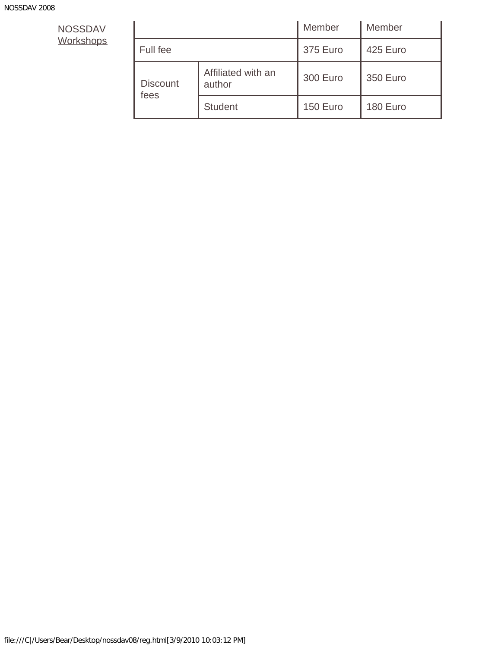|                         |                              | Member   | Member          |
|-------------------------|------------------------------|----------|-----------------|
| Full fee                |                              | 375 Euro | 425 Euro        |
| <b>Discount</b><br>fees | Affiliated with an<br>author | 300 Euro | <b>350 Euro</b> |
|                         | <b>Student</b>               | 150 Euro | 180 Euro        |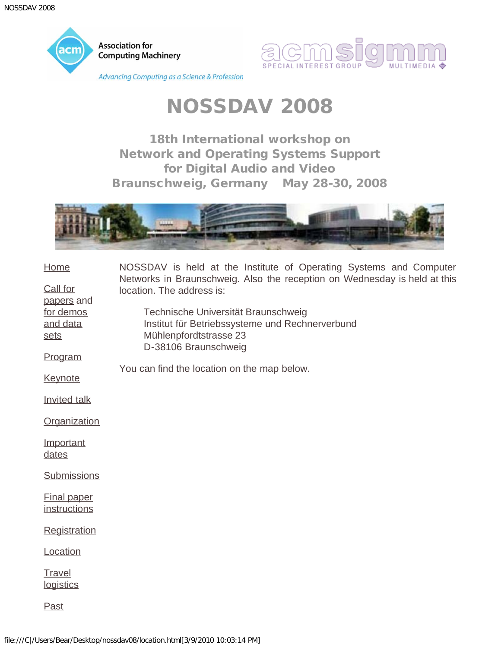<span id="page-24-0"></span>



18th International workshop on Network and Operating Systems Support for Digital Audio and Video Braunschweig, Germany May 28-30, 2008



| Home                               | NOSSDAV is held at the Institute of Operating Systems and Computer                                                                       |
|------------------------------------|------------------------------------------------------------------------------------------------------------------------------------------|
| Call for<br>papers and             | Networks in Braunschweig. Also the reception on Wednesday is held at this<br>location. The address is:                                   |
| for demos<br>and data<br>sets      | Technische Universität Braunschweig<br>Institut für Betriebssysteme und Rechnerverbund<br>Mühlenpfordtstrasse 23<br>D-38106 Braunschweig |
| Program                            |                                                                                                                                          |
| <b>Keynote</b>                     | You can find the location on the map below.                                                                                              |
| <b>Invited talk</b>                |                                                                                                                                          |
| Organization                       |                                                                                                                                          |
| Important<br>dates                 |                                                                                                                                          |
| Submissions                        |                                                                                                                                          |
| <b>Final paper</b><br>instructions |                                                                                                                                          |
| Registration                       |                                                                                                                                          |
| Location                           |                                                                                                                                          |
| Travel<br>logistics                |                                                                                                                                          |
| <b>Past</b>                        |                                                                                                                                          |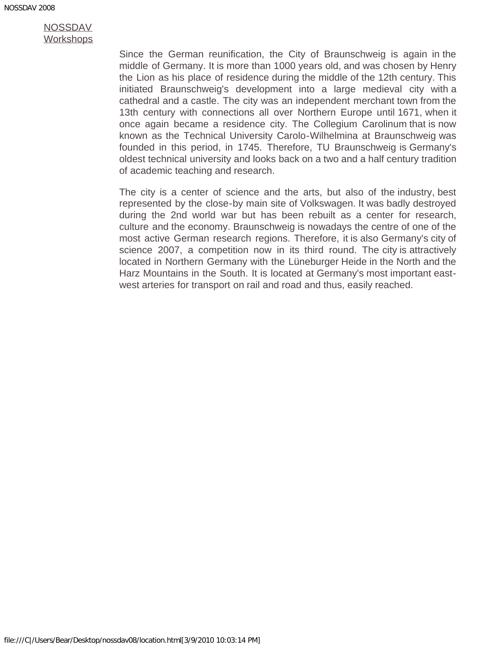Since the German reunification, the City of Braunschweig is again in the middle of Germany. It is more than 1000 years old, and was chosen by Henry the Lion as his place of residence during the middle of the 12th century. This initiated Braunschweig's development into a large medieval city with a cathedral and a castle. The city was an independent merchant town from the 13th century with connections all over Northern Europe until 1671, when it once again became a residence city. The Collegium Carolinum that is now known as the Technical University Carolo-Wilhelmina at Braunschweig was founded in this period, in 1745. Therefore, TU Braunschweig is Germany's oldest technical university and looks back on a two and a half century tradition of academic teaching and research.

The city is a center of science and the arts, but also of the industry, best represented by the close-by main site of Volkswagen. It was badly destroyed during the 2nd world war but has been rebuilt as a center for research, culture and the economy. Braunschweig is nowadays the centre of one of the most active German research regions. Therefore, it is also Germany's city of science 2007, a competition now in its third round. The city is attractively located in Northern Germany with the Lüneburger Heide in the North and the Harz Mountains in the South. It is located at Germany's most important eastwest arteries for transport on rail and road and thus, easily reached.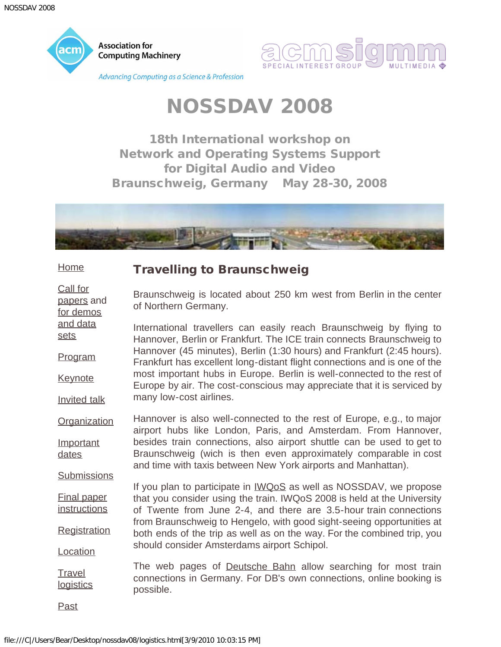<span id="page-26-0"></span>



18th International workshop on Network and Operating Systems Support for Digital Audio and Video Braunschweig, Germany May 28-30, 2008



### Travelling to Braunschweig

Braunschweig is located about 250 km west from Berlin in the center of Northern Germany.

[and data](#page-4-0) [sets](#page-4-0) [Program](#page-6-0) **[Keynote](#page-10-0)** [Invited talk](#page-12-0) International travellers can easily reach Braunschweig by flying to Hannover, Berlin or Frankfurt. The ICE train connects Braunschweig to Hannover (45 minutes), Berlin (1:30 hours) and Frankfurt (2:45 hours). Frankfurt has excellent long-distant flight connections and is one of the most important hubs in Europe. Berlin is well-connected to the rest of Europe by air. The cost-conscious may appreciate that it is serviced by many low-cost airlines.

**[Organization](#page-14-0) [Important](#page-16-0)** [dates](#page-16-0) Hannover is also well-connected to the rest of Europe, e.g., to major airport hubs like London, Paris, and Amsterdam. From Hannover, besides train connections, also airport shuttle can be used to get to Braunschweig (wich is then even approximately comparable in cost and time with taxis between New York airports and Manhattan).

[Final paper](#page-20-0) **[instructions](#page-20-0) [Registration](#page-22-0)** [Location](#page-24-0) If you plan to participate in [IWQoS](javascript:if(confirm() as well as NOSSDAV, we propose that you consider using the train. IWQoS 2008 is held at the University of Twente from June 2-4, and there are 3.5-hour train connections from Braunschweig to Hengelo, with good sight-seeing opportunities at both ends of the trip as well as on the way. For the combined trip, you should consider Amsterdams airport Schipol.

**[Travel](#page-26-0) [logistics](#page-26-0)** The web pages of [Deutsche Bahn](javascript:if(confirm() allow searching for most train connections in Germany. For DB's own connections, online booking is possible.

[Past](javascript:if(confirm()

**[Submissions](#page-18-0)** 

**[Home](#page-0-0)** 

[Call for](#page-2-0) [papers](#page-2-0) and [for demos](#page-4-0)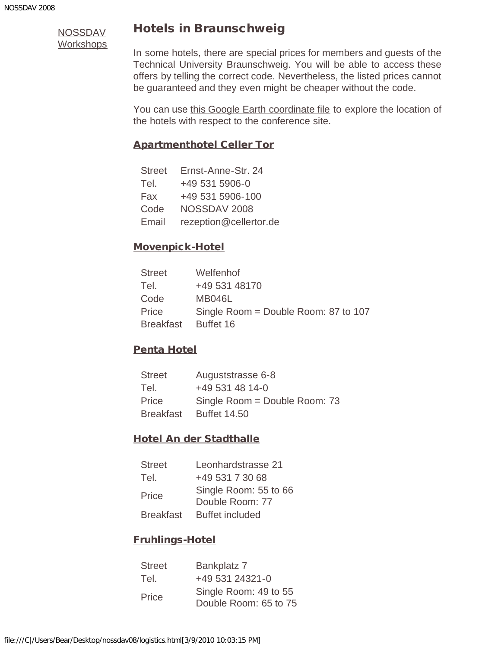### Hotels in Braunschweig

In some hotels, there are special prices for members and guests of the Technical University Braunschweig. You will be able to access these offers by telling the correct code. Nevertheless, the listed prices cannot be guaranteed and they even might be cheaper without the code.

You can use [this Google Earth coordinate file](file:///C|/Users/Bear/Desktop/nossdav08/hotels.kmz) to explore the location of the hotels with respect to the conference site.

### [Apartmenthotel Celler Tor](javascript:if(confirm()

| <b>Street</b> | Ernst-Anne-Str. 24     |
|---------------|------------------------|
| Tel.          | +49 531 5906-0         |
| Fax           | +49 531 5906-100       |
| Code          | NOSSDAV 2008           |
| Email         | rezeption@cellertor.de |

### [Movenpick-Hotel](javascript:if(confirm()

| <b>Street</b>    | Welfenhof                            |
|------------------|--------------------------------------|
| Tel.             | +49 531 48170                        |
| Code             | <b>MB046L</b>                        |
| Price            | Single Room = Double Room: 87 to 107 |
| <b>Breakfast</b> | Buffet 16                            |

### [Penta Hotel](javascript:if(confirm()

| <b>Street</b>    | Auguststrasse 6-8             |
|------------------|-------------------------------|
| Tel.             | +49 531 48 14-0               |
| Price            | Single Room = Double Room: 73 |
| <b>Breakfast</b> | <b>Buffet 14.50</b>           |

### [Hotel An der Stadthalle](javascript:if(confirm()

| <b>Street</b>    | Leonhardstrasse 21                       |
|------------------|------------------------------------------|
| Tel.             | +49 531 7 30 68                          |
| Price            | Single Room: 55 to 66<br>Double Room: 77 |
| <b>Breakfast</b> | <b>Buffet included</b>                   |

### [Fruhlings-Hotel](javascript:if(confirm()

| <b>Street</b> | Bankplatz 7                                    |
|---------------|------------------------------------------------|
| Tel.          | +49 531 24321-0                                |
| Price         | Single Room: 49 to 55<br>Double Room: 65 to 75 |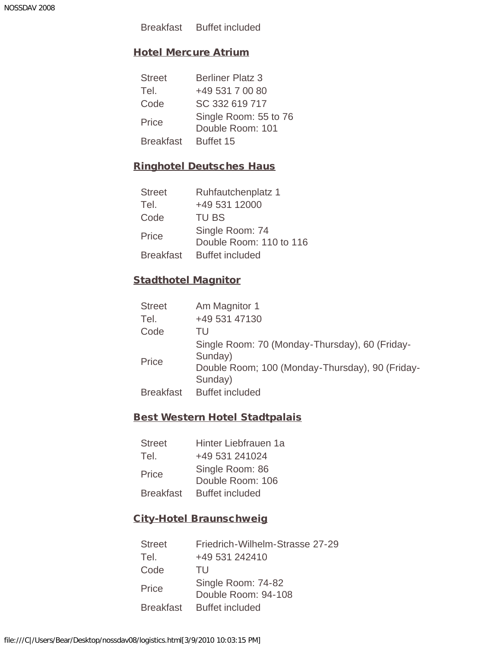Breakfast Buffet included

### [Hotel Mercure Atrium](javascript:if(confirm()

| <b>Street</b>    | <b>Berliner Platz 3</b>                   |
|------------------|-------------------------------------------|
| Tel.             | +49 531 7 00 80                           |
| Code             | SC 332 619 717                            |
| Price            | Single Room: 55 to 76<br>Double Room: 101 |
| <b>Breakfast</b> | Buffet 15                                 |

### [Ringhotel Deutsches Haus](javascript:if(confirm()

| <b>Street</b>    | Ruhfautchenplatz 1                         |
|------------------|--------------------------------------------|
| Tel.             | +49 531 12000                              |
| Code             | <b>TU BS</b>                               |
| Price            | Single Room: 74<br>Double Room: 110 to 116 |
| <b>Breakfast</b> | <b>Buffet included</b>                     |

### [Stadthotel Magnitor](javascript:if(confirm()

| <b>Street</b>    | Am Magnitor 1                                                                                                           |
|------------------|-------------------------------------------------------------------------------------------------------------------------|
| Tel.             | +49 531 47130                                                                                                           |
| Code             | TU                                                                                                                      |
| Price            | Single Room: 70 (Monday-Thursday), 60 (Friday-<br>Sunday)<br>Double Room; 100 (Monday-Thursday), 90 (Friday-<br>Sunday) |
| <b>Breakfast</b> | <b>Buffet included</b>                                                                                                  |

### [Best Western Hotel Stadtpalais](javascript:if(confirm()

| Hinter Liebfrauen 1a                |
|-------------------------------------|
| +49 531 241024                      |
| Single Room: 86<br>Double Room: 106 |
| <b>Buffet included</b>              |
|                                     |

### [City-Hotel Braunschweig](javascript:if(confirm()

| <b>Street</b> | Friedrich-Wilhelm-Strasse 27-29 |
|---------------|---------------------------------|
| Tel.          | +49 531 242410                  |
| Code          | TU                              |
| Price         | Single Room: 74-82              |
|               | Double Room: 94-108             |
| Breakfast     | <b>Buffet included</b>          |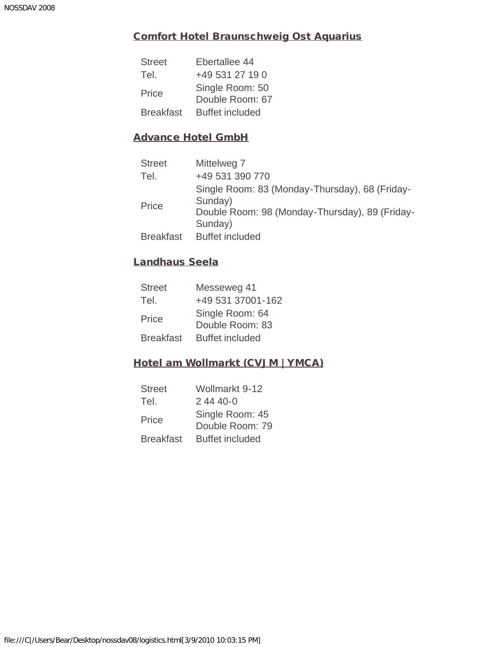### [Comfort Hotel Braunschweig Ost Aquarius](javascript:if(confirm()

| <b>Street</b>    | Ebertallee 44                      |
|------------------|------------------------------------|
| Tel.             | +49 531 27 19 0                    |
| Price            | Single Room: 50<br>Double Room: 67 |
| <b>Breakfast</b> | <b>Buffet included</b>             |

### [Advance Hotel GmbH](javascript:if(confirm()

| <b>Street</b>    | Mittelweg 7                                               |
|------------------|-----------------------------------------------------------|
| Tel.             | +49 531 390 770                                           |
| Price            | Single Room: 83 (Monday-Thursday), 68 (Friday-<br>Sunday) |
|                  | Double Room: 98 (Monday-Thursday), 89 (Friday-<br>Sunday) |
| <b>Breakfast</b> | <b>Buffet included</b>                                    |

### [Landhaus Seela](javascript:if(confirm()

| <b>Street</b>    | Messeweg 41                        |
|------------------|------------------------------------|
| Tel.             | +49 531 37001-162                  |
| Price            | Single Room: 64<br>Double Room: 83 |
| <b>Breakfast</b> | <b>Buffet included</b>             |

### [Hotel am Wollmarkt \(CVJM | YMCA\)](javascript:if(confirm()

| <b>Street</b>    | Wollmarkt 9-12                     |
|------------------|------------------------------------|
| Tel.             | 2 44 40-0                          |
| Price            | Single Room: 45<br>Double Room: 79 |
| <b>Breakfast</b> | <b>Buffet included</b>             |